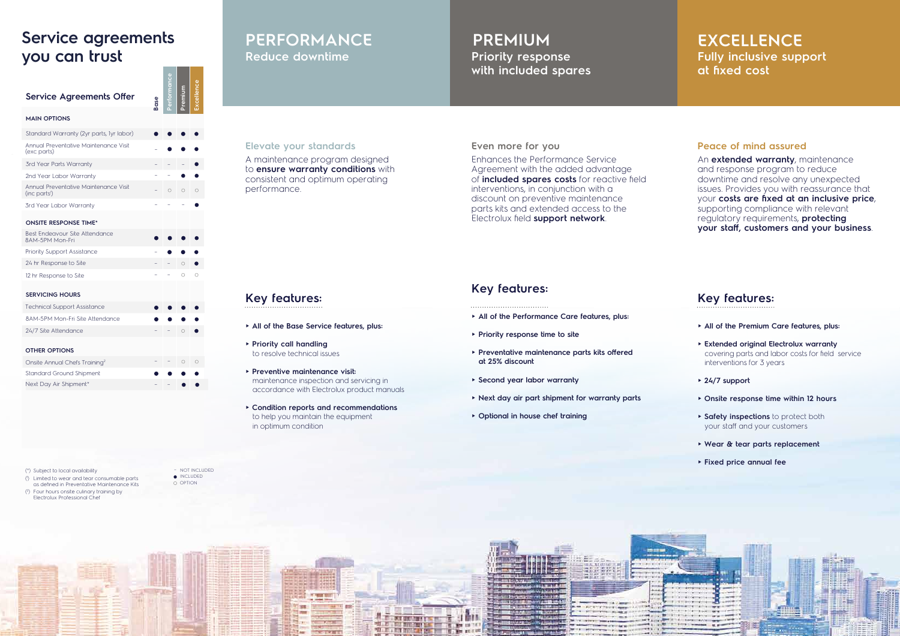#### **Elevate your standards**

# **Key features:**

### **Peace of mind assured**

### **Key features:**

# **Reduce downtime <b>Fully** inclusive support **Fully** inclusive support **at fixed cost**

# **PERFORMANCE PREMIUM EXCELLENCE**

# **Priority response with included spares**

A maintenance program designed to **ensure warranty conditions** with consistent and optimum operating performance.

## **Service agreements you can trust**

An **extended warranty**, maintenance and response program to reduce downtime and resolve any unexpected issues. Provides you with reassurance that your **costs are fixed at an inclusive price**, supporting compliance with relevant regulatory requirements, **protecting your staff, customers and your business**.

- **► All of the Base Service features, plus:**
- **► Priority call handling** to resolve technical issues
- **► Preventive maintenance visit:** maintenance inspection and servicing in accordance with Electrolux product manuals
- **► Condition reports and recommendations** to help you maintain the equipment in optimum condition

#### **Even more for you**

Enhances the Performance Service Agreement with the added advantage of **included spares costs** for reactive field interventions, in conjunction with a discount on preventive maintenance parts kits and extended access to the Electrolux field **support network**.

– NOT INCLUDED O OPTION  $\bullet$  INCLUDED



### **Key features:**

- **► All of the Performance Care features, plus:**
- **► Priority response time to site**
- **► Preventative maintenance parts kits offered at 25% discount**
- **► Second year labor warranty**
- **► Next day air part shipment for warranty parts**
- **► Optional in house chef training**

| <b>Service Agreements Offer</b>                                    | <b>Base</b> |         |            | <b>Excellenc</b> |
|--------------------------------------------------------------------|-------------|---------|------------|------------------|
| <b>MAIN OPTIONS</b>                                                |             |         |            |                  |
| Standard Warranty (2yr parts, 1yr labor)                           |             |         |            |                  |
| Annual Preventative Maintenance Visit<br>(exc parts)               |             |         |            |                  |
| 3rd Year Parts Warranty                                            |             |         |            |                  |
| 2nd Year Labor Warranty                                            |             |         |            |                  |
| Annual Preventative Maintenance Visit<br>(inc parts <sup>1</sup> ) |             | $\circ$ | $\circ$    |                  |
| 3rd Year Labor Warranty                                            |             |         |            |                  |
| <b>ONSITE RESPONSE TIME*</b>                                       |             |         |            |                  |
| Best Endeavour Site Attendance<br>8AM-5PM Mon-Fri                  |             |         |            |                  |
| <b>Priority Support Assistance</b>                                 |             |         |            |                  |
| 24 hr Response to Site                                             |             |         | $\bigcirc$ |                  |
| 12 hr Response to Site                                             |             |         | $\bigcirc$ | $\bigcap$        |
| <b>SERVICING HOURS</b>                                             |             |         |            |                  |
| <b>Technical Support Assistance</b>                                |             |         |            |                  |
| 8AM-5PM Mon-Fri Site Attendance                                    |             |         |            |                  |
| 24/7 Site Attendance                                               |             |         | O          |                  |
| <b>OTHER OPTIONS</b>                                               |             |         |            |                  |
| Onsite Annual Chefs Training <sup>2</sup>                          |             |         |            |                  |
| <b>Standard Ground Shipment</b>                                    |             |         |            |                  |
| Next Day Air Shipment*                                             |             |         |            |                  |

- **► All of the Premium Care features, plus:**
- **► Extended original Electrolux warranty**  covering parts and labor costs for field service interventions for 3 years
- **► 24/7 support**
- **► Onsite response time within 12 hours**
- **► Safety inspections** to protect both your staff and your customers
- **► Wear & tear parts replacement**
- **► Fixed price annual fee**

(\*) Subject to local availability

- ( 1 ) Limited to wear and tear consumable parts as defined in Preventative Maintenance Kits
- ( 2 ) Four hours onsite culinary training by
- Electrolux Professional Chef